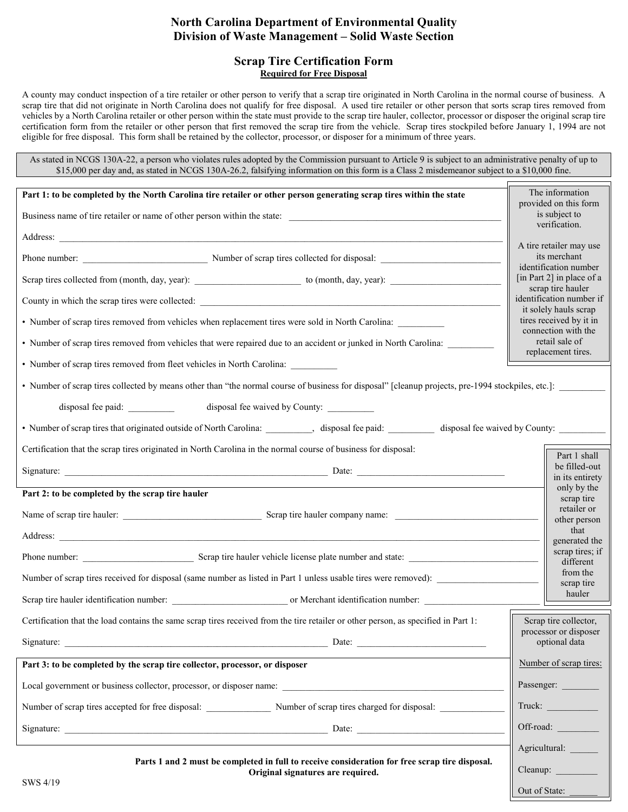# **North Carolina Department of Environmental Quality Division of Waste Management – Solid Waste Section**

#### **Scrap Tire Certification Form Required for Free Disposal**

A county may conduct inspection of a tire retailer or other person to verify that a scrap tire originated in North Carolina in the normal course of business. A scrap tire that did not originate in North Carolina does not qualify for free disposal. A used tire retailer or other person that sorts scrap tires removed from vehicles by a North Carolina retailer or other person within the state must provide to the scrap tire hauler, collector, processor or disposer the original scrap tire certification form from the retailer or other person that first removed the scrap tire from the vehicle. Scrap tires stockpiled before January 1, 1994 are not eligible for free disposal. This form shall be retained by the collector, processor, or disposer for a minimum of three years.

As stated in NCGS 130A-22, a person who violates rules adopted by the Commission pursuant to Article 9 is subject to an administrative penalty of up to \$15,000 per day and, as stated in NCGS 130A-26.2, falsifying information on this form is a Class 2 misdemeanor subject to a \$10,000 fine.

| Part 1: to be completed by the North Carolina tire retailer or other person generating scrap tires within the state                                                                                                                  | The information<br>provided on this form                                                                                                                                                                                      |
|--------------------------------------------------------------------------------------------------------------------------------------------------------------------------------------------------------------------------------------|-------------------------------------------------------------------------------------------------------------------------------------------------------------------------------------------------------------------------------|
| Business name of tire retailer or name of other person within the state:                                                                                                                                                             | is subject to<br>verification.                                                                                                                                                                                                |
|                                                                                                                                                                                                                                      | A tire retailer may use                                                                                                                                                                                                       |
|                                                                                                                                                                                                                                      | its merchant<br>identification number                                                                                                                                                                                         |
|                                                                                                                                                                                                                                      | [in Part 2] in place of a<br>scrap tire hauler                                                                                                                                                                                |
| County in which the scrap tires were collected: <u>the country of the country of the country of the country of the country of the country of the country of the country of the country of the country of the country of the coun</u> | identification number if<br>it solely hauls scrap                                                                                                                                                                             |
| • Number of scrap tires removed from vehicles when replacement tires were sold in North Carolina:                                                                                                                                    | tires received by it in<br>connection with the                                                                                                                                                                                |
| • Number of scrap tires removed from vehicles that were repaired due to an accident or junked in North Carolina:                                                                                                                     | retail sale of<br>replacement tires.                                                                                                                                                                                          |
| • Number of scrap tires removed from fleet vehicles in North Carolina:                                                                                                                                                               |                                                                                                                                                                                                                               |
| • Number of scrap tires collected by means other than "the normal course of business for disposal" [cleanup projects, pre-1994 stockpiles, etc.]:                                                                                    |                                                                                                                                                                                                                               |
| disposal fee waived by County:                                                                                                                                                                                                       |                                                                                                                                                                                                                               |
| • Number of scrap tires that originated outside of North Carolina: _________, disposal fee paid: ________ disposal fee waived by County: _________                                                                                   |                                                                                                                                                                                                                               |
| Certification that the scrap tires originated in North Carolina in the normal course of business for disposal:                                                                                                                       | Part 1 shall                                                                                                                                                                                                                  |
|                                                                                                                                                                                                                                      | be filled-out<br>in its entirety                                                                                                                                                                                              |
| Part 2: to be completed by the scrap tire hauler                                                                                                                                                                                     | only by the<br>scrap tire                                                                                                                                                                                                     |
|                                                                                                                                                                                                                                      | retailer or<br>other person                                                                                                                                                                                                   |
|                                                                                                                                                                                                                                      | that<br>generated the                                                                                                                                                                                                         |
| Phone number: Scrap tire hauler vehicle license plate number and state:                                                                                                                                                              | scrap tires; if<br>different                                                                                                                                                                                                  |
| Number of scrap tires received for disposal (same number as listed in Part 1 unless usable tires were removed):                                                                                                                      | from the<br>scrap tire                                                                                                                                                                                                        |
|                                                                                                                                                                                                                                      | hauler                                                                                                                                                                                                                        |
| Certification that the load contains the same scrap tires received from the tire retailer or other person, as specified in Part 1:                                                                                                   | Scrap tire collector,<br>processor or disposer                                                                                                                                                                                |
| Signature:<br>Date:                                                                                                                                                                                                                  | optional data                                                                                                                                                                                                                 |
| Part 3: to be completed by the scrap tire collector, processor, or disposer                                                                                                                                                          | Number of scrap tires:                                                                                                                                                                                                        |
|                                                                                                                                                                                                                                      | Passenger:                                                                                                                                                                                                                    |
| Number of scrap tires accepted for free disposal:<br>Number of scrap tires charged for disposal:                                                                                                                                     | Truck:                                                                                                                                                                                                                        |
|                                                                                                                                                                                                                                      | Off-road: The Contract of the Contract of the Contract of the Contract of the Contract of the Contract of the Contract of the Contract of the Contract of the Contract of the Contract of the Contract of the Contract of the |
|                                                                                                                                                                                                                                      | Agricultural:                                                                                                                                                                                                                 |
| Parts 1 and 2 must be completed in full to receive consideration for free scrap tire disposal.<br>Original signatures are required.                                                                                                  | Cleanup:                                                                                                                                                                                                                      |
| SWS 4/19                                                                                                                                                                                                                             | Out of State:                                                                                                                                                                                                                 |